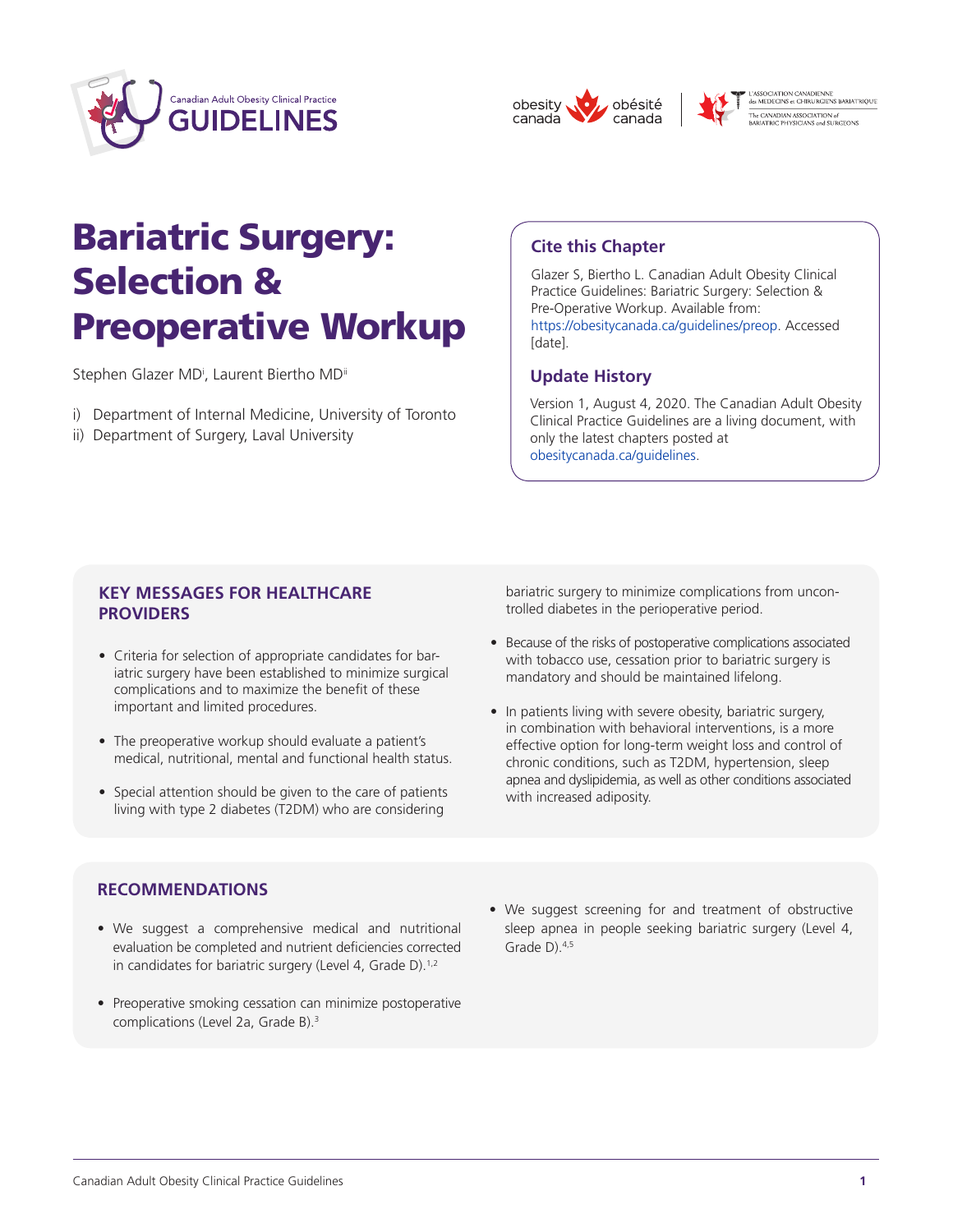





.<br>'ASSOCIATION CANADIENNE<br>les MEDECINS et CHIRURGIENS BARIATRIQUE e CANADIAN ASSOCIATION of<br>RIATRIC PHYSICIANS and SURGEON:

# Bariatric Surgery: Selection & Preoperative Workup

Stephen Glazer MD<sup>i</sup>, Laurent Biertho MD<sup>ii</sup>

- i) Department of Internal Medicine, University of Toronto
- ii) Department of Surgery, Laval University

## **Cite this Chapter**

Glazer S, Biertho L. Canadian Adult Obesity Clinical Practice Guidelines: Bariatric Surgery: Selection & Pre-Operative Workup. Available from: [https://obesitycanada.ca/guidelines/preop.](https://obesitycanada.ca/guidelines/preop. Accessed) Accessed [date].

# **Update History**

Version 1, August 4, 2020. The Canadian Adult Obesity Clinical Practice Guidelines are a living document, with only the latest chapters posted at [obesitycanada.ca/guidelines.](obesitycanada.ca/guidelines)

## **KEY MESSAGES FOR HEALTHCARE PROVIDERS**

- Criteria for selection of appropriate candidates for bariatric surgery have been established to minimize surgical complications and to maximize the benefit of these important and limited procedures.
- The preoperative workup should evaluate a patient's medical, nutritional, mental and functional health status.
- Special attention should be given to the care of patients living with type 2 diabetes (T2DM) who are considering

bariatric surgery to minimize complications from uncontrolled diabetes in the perioperative period.

- Because of the risks of postoperative complications associated with tobacco use, cessation prior to bariatric surgery is mandatory and should be maintained lifelong.
- In patients living with severe obesity, bariatric surgery, in combination with behavioral interventions, is a more effective option for long-term weight loss and control of chronic conditions, such as T2DM, hypertension, sleep apnea and dyslipidemia, as well as other conditions associated with increased adiposity.

## **RECOMMENDATIONS**

- We suggest a comprehensive medical and nutritional evaluation be completed and nutrient deficiencies corrected in candidates for bariatric surgery (Level 4, Grade D).<sup>1,2</sup>
- Preoperative smoking cessation can minimize postoperative complications (Level 2a, Grade B).<sup>3</sup>
- We suggest screening for and treatment of obstructive sleep apnea in people seeking bariatric surgery (Level 4, Grade D).4,5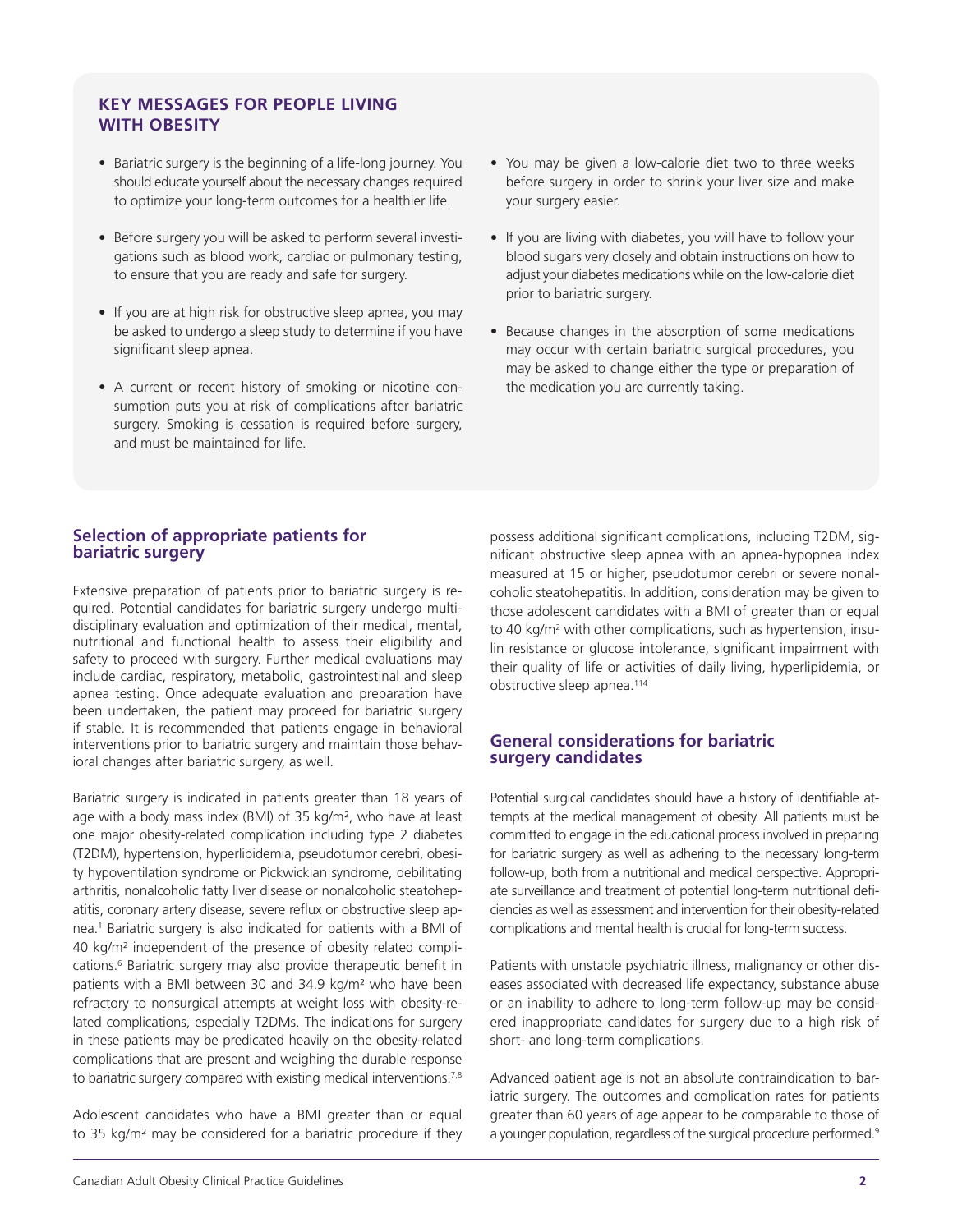## **KEY MESSAGES FOR PEOPLE LIVING WITH OBESITY**

- Bariatric surgery is the beginning of a life-long journey. You should educate yourself about the necessary changes required to optimize your long-term outcomes for a healthier life.
- Before surgery you will be asked to perform several investigations such as blood work, cardiac or pulmonary testing, to ensure that you are ready and safe for surgery.
- If you are at high risk for obstructive sleep apnea, you may be asked to undergo a sleep study to determine if you have significant sleep apnea.
- A current or recent history of smoking or nicotine consumption puts you at risk of complications after bariatric surgery. Smoking is cessation is required before surgery, and must be maintained for life.
- You may be given a low-calorie diet two to three weeks before surgery in order to shrink your liver size and make your surgery easier.
- If you are living with diabetes, you will have to follow your blood sugars very closely and obtain instructions on how to adjust your diabetes medications while on the low-calorie diet prior to bariatric surgery.
- Because changes in the absorption of some medications may occur with certain bariatric surgical procedures, you may be asked to change either the type or preparation of the medication you are currently taking.

## **Selection of appropriate patients for bariatric surgery**

Extensive preparation of patients prior to bariatric surgery is required. Potential candidates for bariatric surgery undergo multidisciplinary evaluation and optimization of their medical, mental, nutritional and functional health to assess their eligibility and safety to proceed with surgery. Further medical evaluations may include cardiac, respiratory, metabolic, gastrointestinal and sleep apnea testing. Once adequate evaluation and preparation have been undertaken, the patient may proceed for bariatric surgery if stable. It is recommended that patients engage in behavioral interventions prior to bariatric surgery and maintain those behavioral changes after bariatric surgery, as well.

Bariatric surgery is indicated in patients greater than 18 years of age with a body mass index (BMI) of 35 kg/m², who have at least one major obesity-related complication including type 2 diabetes (T2DM), hypertension, hyperlipidemia, pseudotumor cerebri, obesity hypoventilation syndrome or Pickwickian syndrome, debilitating arthritis, nonalcoholic fatty liver disease or nonalcoholic steatohepatitis, coronary artery disease, severe reflux or obstructive sleep apnea.<sup>1</sup> Bariatric surgery is also indicated for patients with a BMI of 40 kg/m² independent of the presence of obesity related complications.<sup>6</sup> Bariatric surgery may also provide therapeutic benefit in patients with a BMI between 30 and 34.9 kg/m² who have been refractory to nonsurgical attempts at weight loss with obesity-related complications, especially T2DMs. The indications for surgery in these patients may be predicated heavily on the obesity-related complications that are present and weighing the durable response to bariatric surgery compared with existing medical interventions.<sup>7,8</sup>

Adolescent candidates who have a BMI greater than or equal to 35 kg/m² may be considered for a bariatric procedure if they

possess additional significant complications, including T2DM, significant obstructive sleep apnea with an apnea-hypopnea index measured at 15 or higher, pseudotumor cerebri or severe nonalcoholic steatohepatitis. In addition, consideration may be given to those adolescent candidates with a BMI of greater than or equal to 40 kg/m<sup>2</sup> with other complications, such as hypertension, insulin resistance or glucose intolerance, significant impairment with their quality of life or activities of daily living, hyperlipidemia, or obstructive sleep apnea.<sup>114</sup>

#### **General considerations for bariatric surgery candidates**

Potential surgical candidates should have a history of identifiable attempts at the medical management of obesity. All patients must be committed to engage in the educational process involved in preparing for bariatric surgery as well as adhering to the necessary long-term follow-up, both from a nutritional and medical perspective. Appropriate surveillance and treatment of potential long-term nutritional deficiencies as well as assessment and intervention for their obesity-related complications and mental health is crucial for long-term success.

Patients with unstable psychiatric illness, malignancy or other diseases associated with decreased life expectancy, substance abuse or an inability to adhere to long-term follow-up may be considered inappropriate candidates for surgery due to a high risk of short- and long-term complications.

Advanced patient age is not an absolute contraindication to bariatric surgery. The outcomes and complication rates for patients greater than 60 years of age appear to be comparable to those of a younger population, regardless of the surgical procedure performed.<sup>9</sup>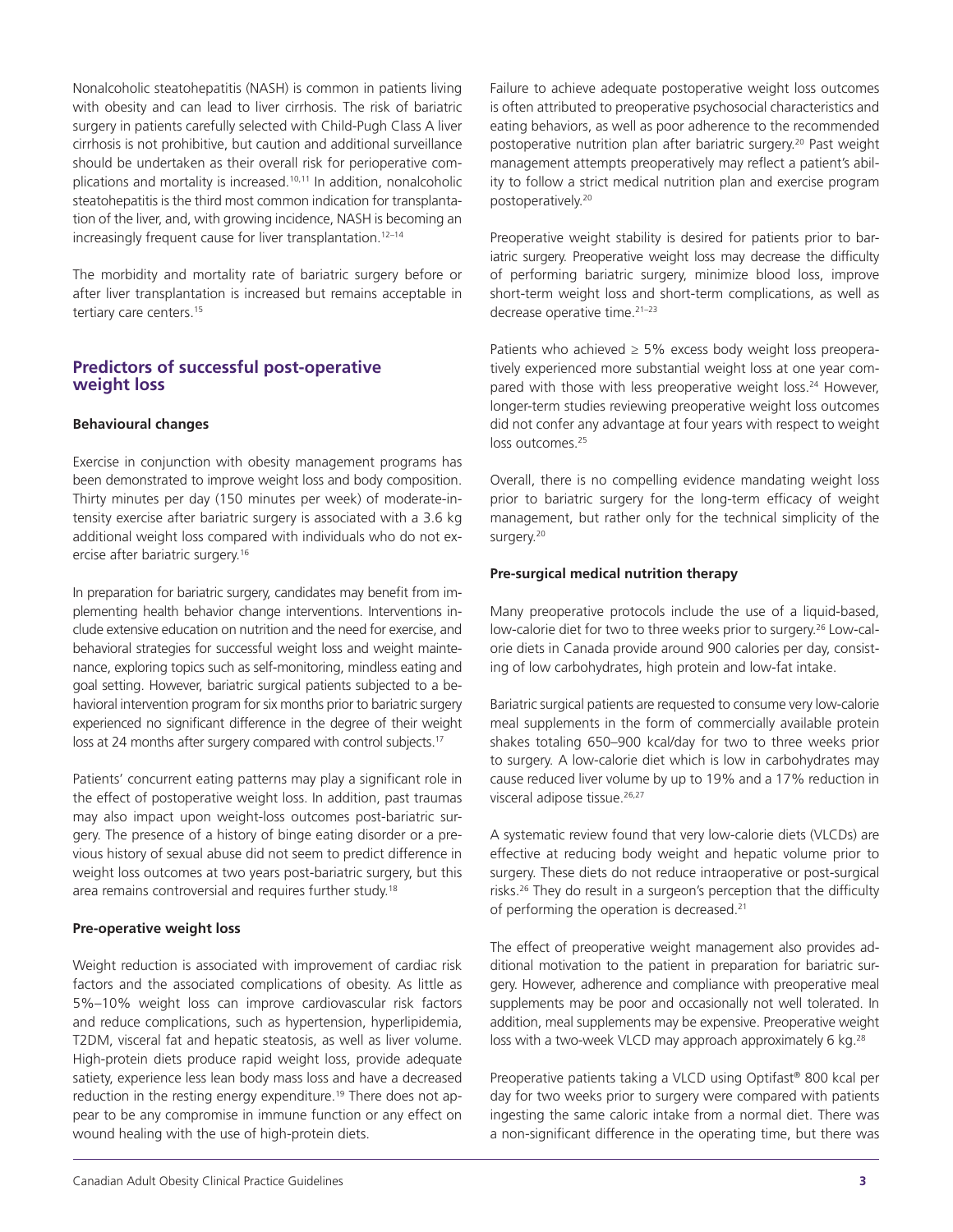Nonalcoholic steatohepatitis (NASH) is common in patients living with obesity and can lead to liver cirrhosis. The risk of bariatric surgery in patients carefully selected with Child-Pugh Class A liver cirrhosis is not prohibitive, but caution and additional surveillance should be undertaken as their overall risk for perioperative complications and mortality is increased.<sup>10,11</sup> In addition, nonalcoholic steatohepatitis is the third most common indication for transplantation of the liver, and, with growing incidence, NASH is becoming an increasingly frequent cause for liver transplantation.<sup>12-14</sup>

The morbidity and mortality rate of bariatric surgery before or after liver transplantation is increased but remains acceptable in tertiary care centers.<sup>15</sup>

## **Predictors of successful post-operative weight loss**

#### **Behavioural changes**

Exercise in conjunction with obesity management programs has been demonstrated to improve weight loss and body composition. Thirty minutes per day (150 minutes per week) of moderate-intensity exercise after bariatric surgery is associated with a 3.6 kg additional weight loss compared with individuals who do not exercise after bariatric surgery.16

In preparation for bariatric surgery, candidates may benefit from implementing health behavior change interventions. Interventions include extensive education on nutrition and the need for exercise, and behavioral strategies for successful weight loss and weight maintenance, exploring topics such as self-monitoring, mindless eating and goal setting. However, bariatric surgical patients subjected to a behavioral intervention program for six months prior to bariatric surgery experienced no significant difference in the degree of their weight loss at 24 months after surgery compared with control subjects.<sup>17</sup>

Patients' concurrent eating patterns may play a significant role in the effect of postoperative weight loss. In addition, past traumas may also impact upon weight-loss outcomes post-bariatric surgery. The presence of a history of binge eating disorder or a previous history of sexual abuse did not seem to predict difference in weight loss outcomes at two years post-bariatric surgery, but this area remains controversial and requires further study.<sup>18</sup>

#### **Pre-operative weight loss**

Weight reduction is associated with improvement of cardiac risk factors and the associated complications of obesity. As little as 5%–10% weight loss can improve cardiovascular risk factors and reduce complications, such as hypertension, hyperlipidemia, T2DM, visceral fat and hepatic steatosis, as well as liver volume. High-protein diets produce rapid weight loss, provide adequate satiety, experience less lean body mass loss and have a decreased reduction in the resting energy expenditure.<sup>19</sup> There does not appear to be any compromise in immune function or any effect on wound healing with the use of high-protein diets.

Failure to achieve adequate postoperative weight loss outcomes is often attributed to preoperative psychosocial characteristics and eating behaviors, as well as poor adherence to the recommended postoperative nutrition plan after bariatric surgery.<sup>20</sup> Past weight management attempts preoperatively may reflect a patient's ability to follow a strict medical nutrition plan and exercise program postoperatively.<sup>20</sup>

Preoperative weight stability is desired for patients prior to bariatric surgery. Preoperative weight loss may decrease the difficulty of performing bariatric surgery, minimize blood loss, improve short-term weight loss and short-term complications, as well as decrease operative time.21–23

Patients who achieved  $\geq$  5% excess body weight loss preoperatively experienced more substantial weight loss at one year compared with those with less preoperative weight loss.<sup>24</sup> However, longer-term studies reviewing preoperative weight loss outcomes did not confer any advantage at four years with respect to weight loss outcomes.<sup>25</sup>

Overall, there is no compelling evidence mandating weight loss prior to bariatric surgery for the long-term efficacy of weight management, but rather only for the technical simplicity of the surgery.<sup>20</sup>

#### **Pre-surgical medical nutrition therapy**

Many preoperative protocols include the use of a liquid-based, low-calorie diet for two to three weeks prior to surgery.<sup>26</sup> Low-calorie diets in Canada provide around 900 calories per day, consisting of low carbohydrates, high protein and low-fat intake.

Bariatric surgical patients are requested to consume very low-calorie meal supplements in the form of commercially available protein shakes totaling 650–900 kcal/day for two to three weeks prior to surgery. A low-calorie diet which is low in carbohydrates may cause reduced liver volume by up to 19% and a 17% reduction in visceral adipose tissue.<sup>26,27</sup>

A systematic review found that very low-calorie diets (VLCDs) are effective at reducing body weight and hepatic volume prior to surgery. These diets do not reduce intraoperative or post-surgical risks.26 They do result in a surgeon's perception that the difficulty of performing the operation is decreased.<sup>21</sup>

The effect of preoperative weight management also provides additional motivation to the patient in preparation for bariatric surgery. However, adherence and compliance with preoperative meal supplements may be poor and occasionally not well tolerated. In addition, meal supplements may be expensive. Preoperative weight loss with a two-week VLCD may approach approximately 6 kg.<sup>28</sup>

Preoperative patients taking a VLCD using Optifast® 800 kcal per day for two weeks prior to surgery were compared with patients ingesting the same caloric intake from a normal diet. There was a non-significant difference in the operating time, but there was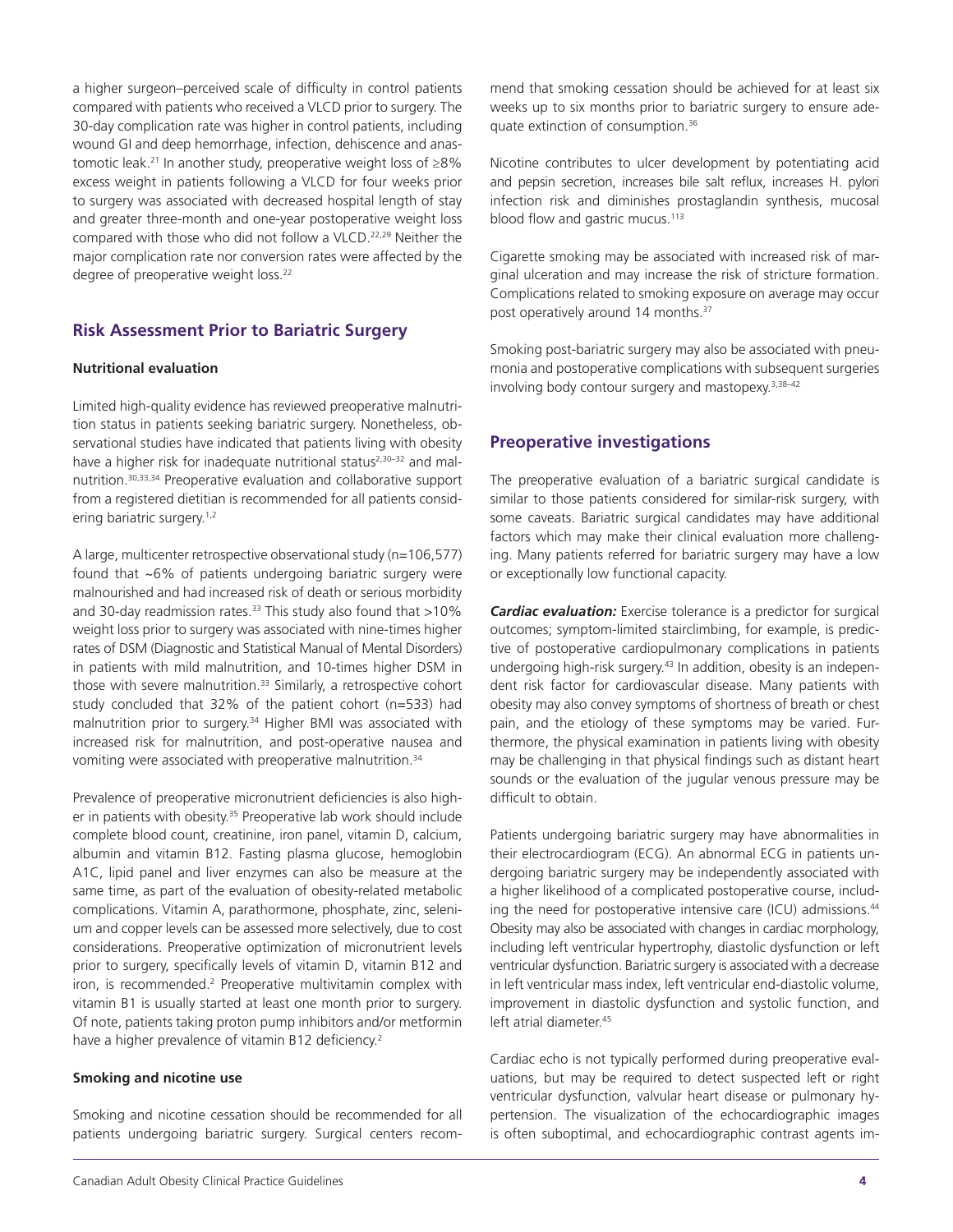a higher surgeon–perceived scale of difficulty in control patients compared with patients who received a VLCD prior to surgery. The 30-day complication rate was higher in control patients, including wound GI and deep hemorrhage, infection, dehiscence and anastomotic leak.21 In another study, preoperative weight loss of ≥8% excess weight in patients following a VLCD for four weeks prior to surgery was associated with decreased hospital length of stay and greater three-month and one-year postoperative weight loss compared with those who did not follow a VLCD.<sup>22,29</sup> Neither the major complication rate nor conversion rates were affected by the degree of preoperative weight loss.<sup>22</sup>

## **Risk Assessment Prior to Bariatric Surgery**

#### **Nutritional evaluation**

Limited high-quality evidence has reviewed preoperative malnutrition status in patients seeking bariatric surgery. Nonetheless, observational studies have indicated that patients living with obesity have a higher risk for inadequate nutritional status<sup>2,30-32</sup> and malnutrition.30,33,34 Preoperative evaluation and collaborative support from a registered dietitian is recommended for all patients considering bariatric surgery.<sup>1,2</sup>

A large, multicenter retrospective observational study (n=106,577) found that ~6% of patients undergoing bariatric surgery were malnourished and had increased risk of death or serious morbidity and 30-day readmission rates. $33$  This study also found that  $>10\%$ weight loss prior to surgery was associated with nine-times higher rates of DSM (Diagnostic and Statistical Manual of Mental Disorders) in patients with mild malnutrition, and 10-times higher DSM in those with severe malnutrition.<sup>33</sup> Similarly, a retrospective cohort study concluded that 32% of the patient cohort (n=533) had malnutrition prior to surgery.<sup>34</sup> Higher BMI was associated with increased risk for malnutrition, and post-operative nausea and vomiting were associated with preoperative malnutrition.<sup>34</sup>

Prevalence of preoperative micronutrient deficiencies is also higher in patients with obesity.<sup>35</sup> Preoperative lab work should include complete blood count, creatinine, iron panel, vitamin D, calcium, albumin and vitamin B12. Fasting plasma glucose, hemoglobin A1C, lipid panel and liver enzymes can also be measure at the same time, as part of the evaluation of obesity-related metabolic complications. Vitamin A, parathormone, phosphate, zinc, selenium and copper levels can be assessed more selectively, due to cost considerations. Preoperative optimization of micronutrient levels prior to surgery, specifically levels of vitamin D, vitamin B12 and iron, is recommended.<sup>2</sup> Preoperative multivitamin complex with vitamin B1 is usually started at least one month prior to surgery. Of note, patients taking proton pump inhibitors and/or metformin have a higher prevalence of vitamin B12 deficiency.<sup>2</sup>

#### **Smoking and nicotine use**

Smoking and nicotine cessation should be recommended for all patients undergoing bariatric surgery. Surgical centers recommend that smoking cessation should be achieved for at least six weeks up to six months prior to bariatric surgery to ensure adequate extinction of consumption.<sup>36</sup>

Nicotine contributes to ulcer development by potentiating acid and pepsin secretion, increases bile salt reflux, increases H. pylori infection risk and diminishes prostaglandin synthesis, mucosal blood flow and gastric mucus.<sup>113</sup>

Cigarette smoking may be associated with increased risk of marginal ulceration and may increase the risk of stricture formation. Complications related to smoking exposure on average may occur post operatively around 14 months.<sup>37</sup>

Smoking post-bariatric surgery may also be associated with pneumonia and postoperative complications with subsequent surgeries involving body contour surgery and mastopexy.3,38–42

#### **Preoperative investigations**

The preoperative evaluation of a bariatric surgical candidate is similar to those patients considered for similar-risk surgery, with some caveats. Bariatric surgical candidates may have additional factors which may make their clinical evaluation more challenging. Many patients referred for bariatric surgery may have a low or exceptionally low functional capacity.

*Cardiac evaluation:* Exercise tolerance is a predictor for surgical outcomes; symptom-limited stairclimbing, for example, is predictive of postoperative cardiopulmonary complications in patients undergoing high-risk surgery.43 In addition, obesity is an independent risk factor for cardiovascular disease. Many patients with obesity may also convey symptoms of shortness of breath or chest pain, and the etiology of these symptoms may be varied. Furthermore, the physical examination in patients living with obesity may be challenging in that physical findings such as distant heart sounds or the evaluation of the jugular venous pressure may be difficult to obtain.

Patients undergoing bariatric surgery may have abnormalities in their electrocardiogram (ECG). An abnormal ECG in patients undergoing bariatric surgery may be independently associated with a higher likelihood of a complicated postoperative course, including the need for postoperative intensive care (ICU) admissions.<sup>44</sup> Obesity may also be associated with changes in cardiac morphology, including left ventricular hypertrophy, diastolic dysfunction or left ventricular dysfunction. Bariatric surgery is associated with a decrease in left ventricular mass index, left ventricular end-diastolic volume, improvement in diastolic dysfunction and systolic function, and left atrial diameter.45

Cardiac echo is not typically performed during preoperative evaluations, but may be required to detect suspected left or right ventricular dysfunction, valvular heart disease or pulmonary hypertension. The visualization of the echocardiographic images is often suboptimal, and echocardiographic contrast agents im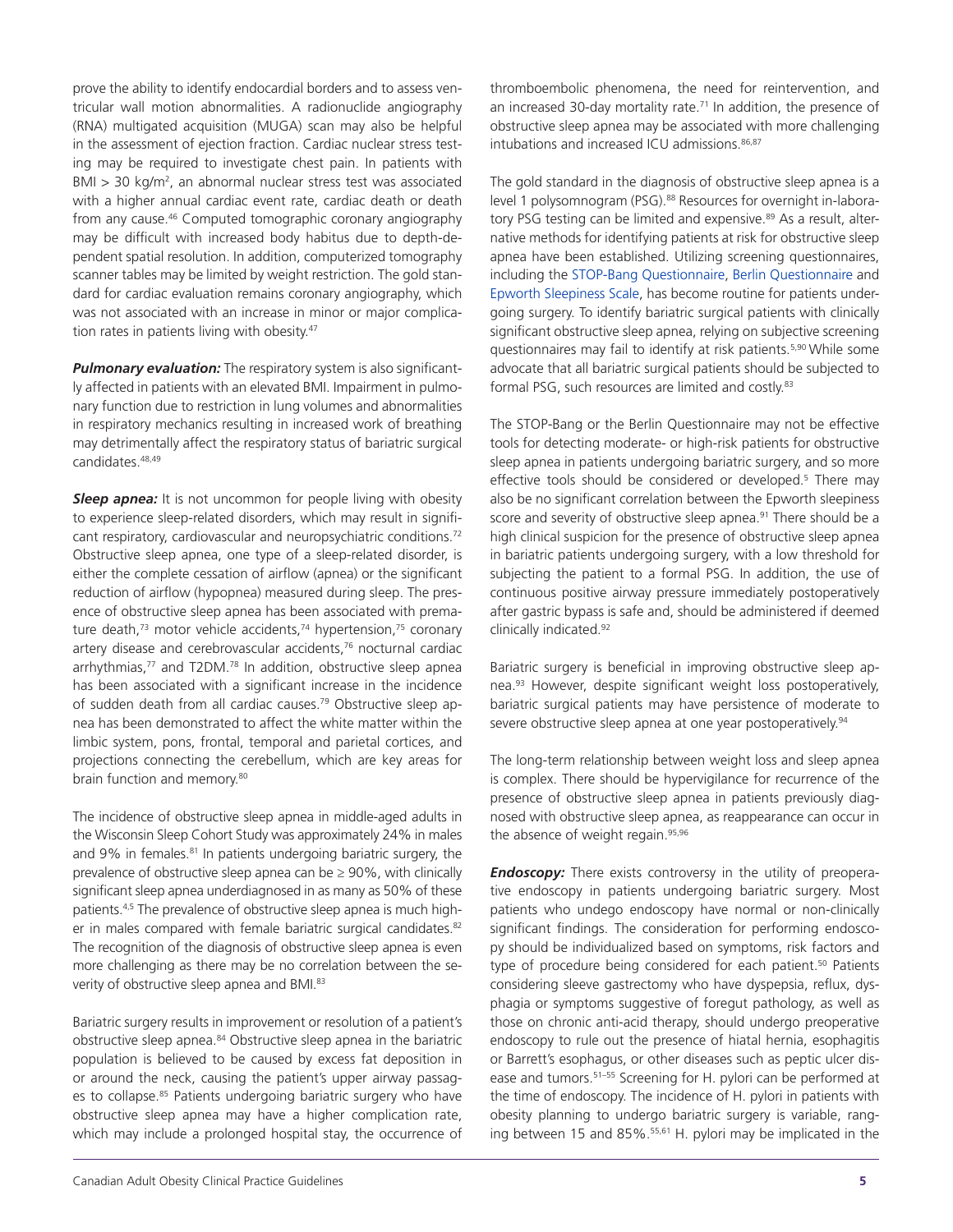prove the ability to identify endocardial borders and to assess ventricular wall motion abnormalities. A radionuclide angiography (RNA) multigated acquisition (MUGA) scan may also be helpful in the assessment of ejection fraction. Cardiac nuclear stress testing may be required to investigate chest pain. In patients with BMI > 30 kg/m<sup>2</sup>, an abnormal nuclear stress test was associated with a higher annual cardiac event rate, cardiac death or death from any cause.46 Computed tomographic coronary angiography may be difficult with increased body habitus due to depth-dependent spatial resolution. In addition, computerized tomography scanner tables may be limited by weight restriction. The gold standard for cardiac evaluation remains coronary angiography, which was not associated with an increase in minor or major complication rates in patients living with obesity.<sup>47</sup>

*Pulmonary evaluation:* The respiratory system is also significantly affected in patients with an elevated BMI. Impairment in pulmonary function due to restriction in lung volumes and abnormalities in respiratory mechanics resulting in increased work of breathing may detrimentally affect the respiratory status of bariatric surgical candidates.48,49

**Sleep apnea:** It is not uncommon for people living with obesity to experience sleep-related disorders, which may result in significant respiratory, cardiovascular and neuropsychiatric conditions.<sup>72</sup> Obstructive sleep apnea, one type of a sleep-related disorder, is either the complete cessation of airflow (apnea) or the significant reduction of airflow (hypopnea) measured during sleep. The presence of obstructive sleep apnea has been associated with premature death, $73$  motor vehicle accidents, $74$  hypertension, $75$  coronary artery disease and cerebrovascular accidents,<sup>76</sup> nocturnal cardiac arrhythmias,<sup>77</sup> and T2DM.<sup>78</sup> In addition, obstructive sleep apnea has been associated with a significant increase in the incidence of sudden death from all cardiac causes.79 Obstructive sleep apnea has been demonstrated to affect the white matter within the limbic system, pons, frontal, temporal and parietal cortices, and projections connecting the cerebellum, which are key areas for brain function and memory.<sup>80</sup>

The incidence of obstructive sleep apnea in middle-aged adults in the Wisconsin Sleep Cohort Study was approximately 24% in males and 9% in females.<sup>81</sup> In patients undergoing bariatric surgery, the prevalence of obstructive sleep apnea can be  $\geq$  90%, with clinically significant sleep apnea underdiagnosed in as many as 50% of these patients.4,5 The prevalence of obstructive sleep apnea is much higher in males compared with female bariatric surgical candidates.<sup>82</sup> The recognition of the diagnosis of obstructive sleep apnea is even more challenging as there may be no correlation between the severity of obstructive sleep apnea and BMI.<sup>83</sup>

Bariatric surgery results in improvement or resolution of a patient's obstructive sleep apnea.<sup>84</sup> Obstructive sleep apnea in the bariatric population is believed to be caused by excess fat deposition in or around the neck, causing the patient's upper airway passages to collapse.<sup>85</sup> Patients undergoing bariatric surgery who have obstructive sleep apnea may have a higher complication rate, which may include a prolonged hospital stay, the occurrence of

thromboembolic phenomena, the need for reintervention, and an increased 30-day mortality rate.<sup>71</sup> In addition, the presence of obstructive sleep apnea may be associated with more challenging intubations and increased ICU admissions. 86,87

The gold standard in the diagnosis of obstructive sleep apnea is a level 1 polysomnogram (PSG).<sup>88</sup> Resources for overnight in-laboratory PSG testing can be limited and expensive.<sup>89</sup> As a result, alternative methods for identifying patients at risk for obstructive sleep apnea have been established. Utilizing screening questionnaires, including the STOP-Bang [Questionnaire,](http://www.stopbang.ca/osa/screening.php) Berlin [Questionnaire](https://www.thoracic.org/members/assemblies/assemblies/srn/questionaires/berlin-questionnaire.php) and Epworth [Sleepiness](https://epworthsleepinessscale.com/about-the-ess/) Scale, has become routine for patients undergoing surgery. To identify bariatric surgical patients with clinically significant obstructive sleep apnea, relying on subjective screening questionnaires may fail to identify at risk patients.5,90 While some advocate that all bariatric surgical patients should be subjected to formal PSG, such resources are limited and costly.83

The STOP-Bang or the Berlin Questionnaire may not be effective tools for detecting moderate- or high-risk patients for obstructive sleep apnea in patients undergoing bariatric surgery, and so more effective tools should be considered or developed.<sup>5</sup> There may also be no significant correlation between the Epworth sleepiness score and severity of obstructive sleep apnea.<sup>91</sup> There should be a high clinical suspicion for the presence of obstructive sleep apnea in bariatric patients undergoing surgery, with a low threshold for subjecting the patient to a formal PSG. In addition, the use of continuous positive airway pressure immediately postoperatively after gastric bypass is safe and, should be administered if deemed clinically indicated.92

Bariatric surgery is beneficial in improving obstructive sleep apnea.93 However, despite significant weight loss postoperatively, bariatric surgical patients may have persistence of moderate to severe obstructive sleep apnea at one year postoperatively.<sup>94</sup>

The long-term relationship between weight loss and sleep apnea is complex. There should be hypervigilance for recurrence of the presence of obstructive sleep apnea in patients previously diagnosed with obstructive sleep apnea, as reappearance can occur in the absence of weight regain.<sup>95,96</sup>

**Endoscopy:** There exists controversy in the utility of preoperative endoscopy in patients undergoing bariatric surgery. Most patients who undego endoscopy have normal or non-clinically significant findings. The consideration for performing endoscopy should be individualized based on symptoms, risk factors and type of procedure being considered for each patient.<sup>50</sup> Patients considering sleeve gastrectomy who have dyspepsia, reflux, dysphagia or symptoms suggestive of foregut pathology, as well as those on chronic anti-acid therapy, should undergo preoperative endoscopy to rule out the presence of hiatal hernia, esophagitis or Barrett's esophagus, or other diseases such as peptic ulcer disease and tumors.<sup>51-55</sup> Screening for H. pylori can be performed at the time of endoscopy. The incidence of H. pylori in patients with obesity planning to undergo bariatric surgery is variable, ranging between 15 and 85%.<sup>55,61</sup> H. pylori may be implicated in the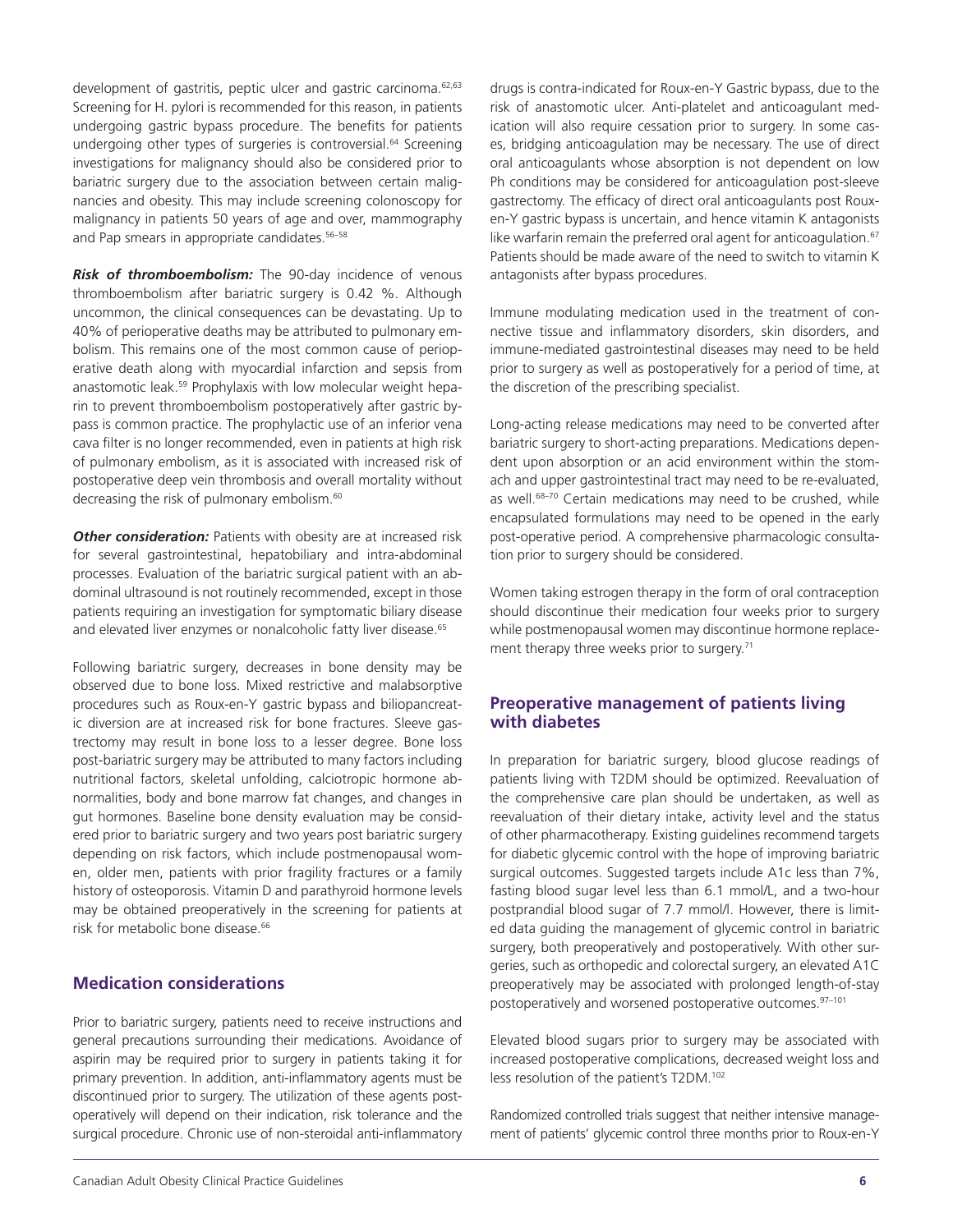development of gastritis, peptic ulcer and gastric carcinoma.<sup>62,63</sup> Screening for H. pylori is recommended for this reason, in patients undergoing gastric bypass procedure. The benefits for patients undergoing other types of surgeries is controversial.<sup>64</sup> Screening investigations for malignancy should also be considered prior to bariatric surgery due to the association between certain malignancies and obesity. This may include screening colonoscopy for malignancy in patients 50 years of age and over, mammography and Pap smears in appropriate candidates.<sup>56-58</sup>

*Risk of thromboembolism:* The 90-day incidence of venous thromboembolism after bariatric surgery is 0.42 %. Although uncommon, the clinical consequences can be devastating. Up to 40% of perioperative deaths may be attributed to pulmonary embolism. This remains one of the most common cause of perioperative death along with myocardial infarction and sepsis from anastomotic leak.<sup>59</sup> Prophylaxis with low molecular weight heparin to prevent thromboembolism postoperatively after gastric bypass is common practice. The prophylactic use of an inferior vena cava filter is no longer recommended, even in patients at high risk of pulmonary embolism, as it is associated with increased risk of postoperative deep vein thrombosis and overall mortality without decreasing the risk of pulmonary embolism.<sup>60</sup>

**Other consideration:** Patients with obesity are at increased risk for several gastrointestinal, hepatobiliary and intra-abdominal processes. Evaluation of the bariatric surgical patient with an abdominal ultrasound is not routinely recommended, except in those patients requiring an investigation for symptomatic biliary disease and elevated liver enzymes or nonalcoholic fatty liver disease.<sup>65</sup>

Following bariatric surgery, decreases in bone density may be observed due to bone loss. Mixed restrictive and malabsorptive procedures such as Roux-en-Y gastric bypass and biliopancreatic diversion are at increased risk for bone fractures. Sleeve gastrectomy may result in bone loss to a lesser degree. Bone loss post-bariatric surgery may be attributed to many factors including nutritional factors, skeletal unfolding, calciotropic hormone abnormalities, body and bone marrow fat changes, and changes in gut hormones. Baseline bone density evaluation may be considered prior to bariatric surgery and two years post bariatric surgery depending on risk factors, which include postmenopausal women, older men, patients with prior fragility fractures or a family history of osteoporosis. Vitamin D and parathyroid hormone levels may be obtained preoperatively in the screening for patients at risk for metabolic bone disease.<sup>66</sup>

## **Medication considerations**

Prior to bariatric surgery, patients need to receive instructions and general precautions surrounding their medications. Avoidance of aspirin may be required prior to surgery in patients taking it for primary prevention. In addition, anti-inflammatory agents must be discontinued prior to surgery. The utilization of these agents postoperatively will depend on their indication, risk tolerance and the surgical procedure. Chronic use of non-steroidal anti-inflammatory drugs is contra-indicated for Roux-en-Y Gastric bypass, due to the risk of anastomotic ulcer. Anti-platelet and anticoagulant medication will also require cessation prior to surgery. In some cases, bridging anticoagulation may be necessary. The use of direct oral anticoagulants whose absorption is not dependent on low Ph conditions may be considered for anticoagulation post-sleeve gastrectomy. The efficacy of direct oral anticoagulants post Rouxen-Y gastric bypass is uncertain, and hence vitamin K antagonists like warfarin remain the preferred oral agent for anticoagulation.<sup>67</sup> Patients should be made aware of the need to switch to vitamin K antagonists after bypass procedures.

Immune modulating medication used in the treatment of connective tissue and inflammatory disorders, skin disorders, and immune-mediated gastrointestinal diseases may need to be held prior to surgery as well as postoperatively for a period of time, at the discretion of the prescribing specialist.

Long-acting release medications may need to be converted after bariatric surgery to short-acting preparations. Medications dependent upon absorption or an acid environment within the stomach and upper gastrointestinal tract may need to be re-evaluated, as well.<sup>68–70</sup> Certain medications may need to be crushed, while encapsulated formulations may need to be opened in the early post-operative period. A comprehensive pharmacologic consultation prior to surgery should be considered.

Women taking estrogen therapy in the form of oral contraception should discontinue their medication four weeks prior to surgery while postmenopausal women may discontinue hormone replacement therapy three weeks prior to surgery.<sup>71</sup>

## **Preoperative management of patients living with diabetes**

In preparation for bariatric surgery, blood glucose readings of patients living with T2DM should be optimized. Reevaluation of the comprehensive care plan should be undertaken, as well as reevaluation of their dietary intake, activity level and the status of other pharmacotherapy. Existing guidelines recommend targets for diabetic glycemic control with the hope of improving bariatric surgical outcomes. Suggested targets include A1c less than 7%, fasting blood sugar level less than 6.1 mmol/L, and a two-hour postprandial blood sugar of 7.7 mmol/l. However, there is limited data guiding the management of glycemic control in bariatric surgery, both preoperatively and postoperatively. With other surgeries, such as orthopedic and colorectal surgery, an elevated A1C preoperatively may be associated with prolonged length-of-stay postoperatively and worsened postoperative outcomes.97–101

Elevated blood sugars prior to surgery may be associated with increased postoperative complications, decreased weight loss and less resolution of the patient's T2DM.102

Randomized controlled trials suggest that neither intensive management of patients' glycemic control three months prior to Roux-en-Y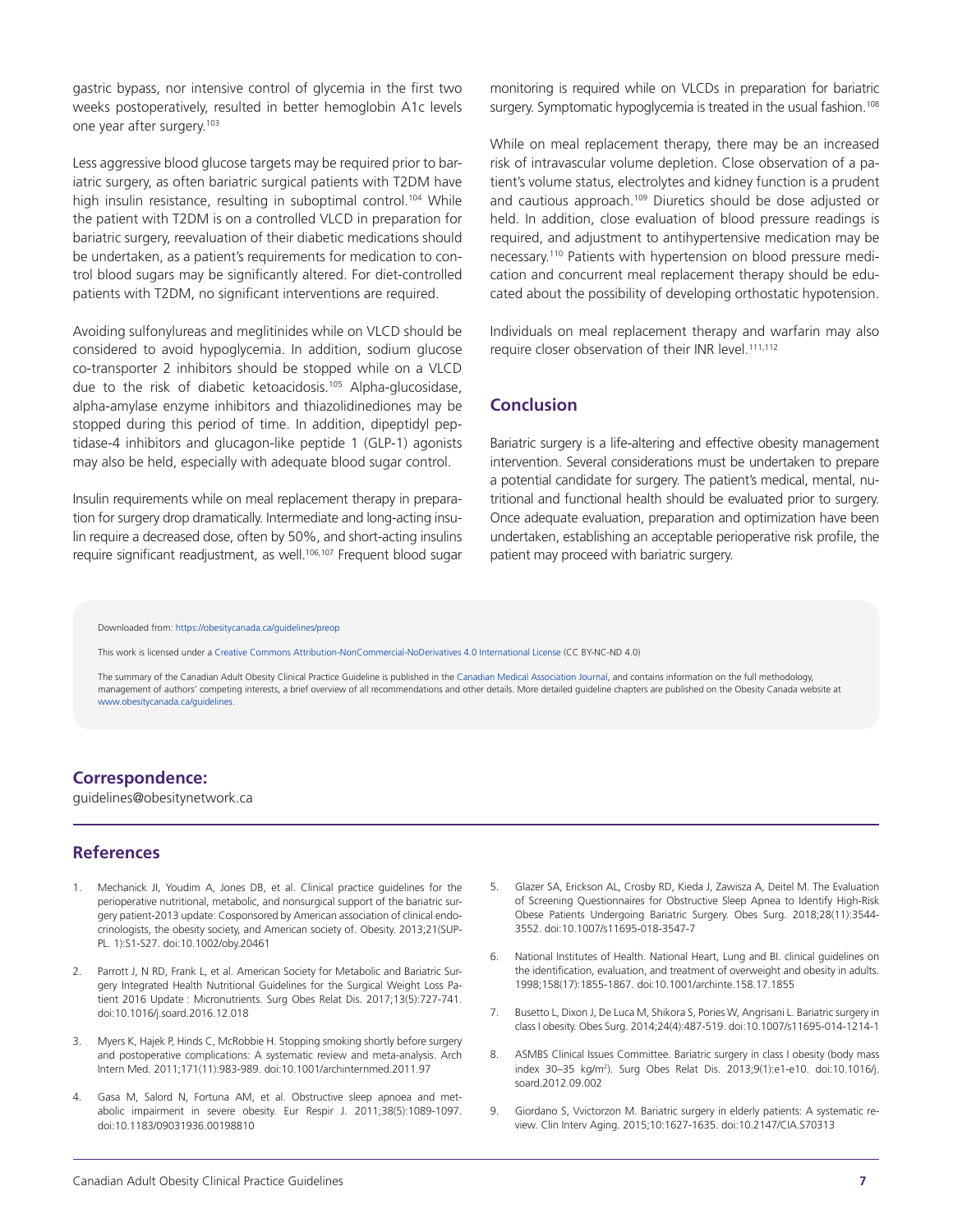gastric bypass, nor intensive control of glycemia in the first two weeks postoperatively, resulted in better hemoglobin A1c levels one year after surgery.103

Less aggressive blood glucose targets may be required prior to bariatric surgery, as often bariatric surgical patients with T2DM have high insulin resistance, resulting in suboptimal control.<sup>104</sup> While the patient with T2DM is on a controlled VLCD in preparation for bariatric surgery, reevaluation of their diabetic medications should be undertaken, as a patient's requirements for medication to control blood sugars may be significantly altered. For diet-controlled patients with T2DM, no significant interventions are required.

Avoiding sulfonylureas and meglitinides while on VLCD should be considered to avoid hypoglycemia. In addition, sodium glucose co-transporter 2 inhibitors should be stopped while on a VLCD due to the risk of diabetic ketoacidosis.<sup>105</sup> Alpha-glucosidase, alpha-amylase enzyme inhibitors and thiazolidinediones may be stopped during this period of time. In addition, dipeptidyl peptidase-4 inhibitors and glucagon-like peptide 1 (GLP-1) agonists may also be held, especially with adequate blood sugar control.

Insulin requirements while on meal replacement therapy in preparation for surgery drop dramatically. Intermediate and long-acting insulin require a decreased dose, often by 50%, and short-acting insulins require significant readjustment, as well.<sup>106,107</sup> Frequent blood sugar

monitoring is required while on VLCDs in preparation for bariatric surgery. Symptomatic hypoglycemia is treated in the usual fashion.<sup>108</sup>

While on meal replacement therapy, there may be an increased risk of intravascular volume depletion. Close observation of a patient's volume status, electrolytes and kidney function is a prudent and cautious approach.109 Diuretics should be dose adjusted or held. In addition, close evaluation of blood pressure readings is required, and adjustment to antihypertensive medication may be necessary.110 Patients with hypertension on blood pressure medication and concurrent meal replacement therapy should be educated about the possibility of developing orthostatic hypotension.

Individuals on meal replacement therapy and warfarin may also require closer observation of their INR level.<sup>111,112</sup>

## **Conclusion**

Bariatric surgery is a life-altering and effective obesity management intervention. Several considerations must be undertaken to prepare a potential candidate for surgery. The patient's medical, mental, nutritional and functional health should be evaluated prior to surgery. Once adequate evaluation, preparation and optimization have been undertaken, establishing an acceptable perioperative risk profile, the patient may proceed with bariatric surgery.

Downloaded from: <https://obesitycanada.ca/guidelines/preop>

This work is licensed under a Creative Commons [Attribution-NonCommercial-NoDerivatives](https://creativecommons.org/licenses/by-nc-nd/4.0/) 4.0 International License (CC BY-NC-ND 4.0)

The summary of the Canadian Adult Obesity Clinical Practice Guideline is published in the Canadian Medical Association Journal, and contains information on the full methodology, management of authors' competing interests, a brief overview of all recommendations and other details. More detailed guideline chapters are published on the Obesity Canada website at [www.obesitycanada.ca/guidelines.](https://obesitycanada.ca/guidelines/)

#### **Correspondence:**

guidelines@obesitynetwork.ca

#### **References**

- 1. Mechanick JI, Youdim A, Jones DB, et al. Clinical practice guidelines for the perioperative nutritional, metabolic, and nonsurgical support of the bariatric surgery patient-2013 update: Cosponsored by American association of clinical endocrinologists, the obesity society, and American society of. Obesity. 2013;21(SUP-PL. 1):S1-S27. doi:10.1002/oby.20461
- 2. Parrott J, N RD, Frank L, et al. American Society for Metabolic and Bariatric Surgery Integrated Health Nutritional Guidelines for the Surgical Weight Loss Patient 2016 Update : Micronutrients. Surg Obes Relat Dis. 2017;13(5):727-741. doi:10.1016/j.soard.2016.12.018
- 3. Myers K, Hajek P, Hinds C, McRobbie H. Stopping smoking shortly before surgery and postoperative complications: A systematic review and meta-analysis. Arch Intern Med. 2011;171(11):983-989. doi:10.1001/archinternmed.2011.97
- 4. Gasa M, Salord N, Fortuna AM, et al. Obstructive sleep apnoea and metabolic impairment in severe obesity. Eur Respir J. 2011;38(5):1089-1097. doi:10.1183/09031936.00198810
- Glazer SA, Erickson AL, Crosby RD, Kieda J, Zawisza A, Deitel M. The Evaluation of Screening Questionnaires for Obstructive Sleep Apnea to Identify High-Risk Obese Patients Undergoing Bariatric Surgery. Obes Surg. 2018;28(11):3544- 3552. doi:10.1007/s11695-018-3547-7
- 6. National Institutes of Health. National Heart, Lung and BI. clinical guidelines on the identification, evaluation, and treatment of overweight and obesity in adults. 1998;158(17):1855-1867. doi:10.1001/archinte.158.17.1855
- 7. Busetto L, Dixon J, De Luca M, Shikora S, Pories W, Angrisani L. Bariatric surgery in class I obesity. Obes Surg. 2014;24(4):487-519. doi:10.1007/s11695-014-1214-1
- 8. ASMBS Clinical Issues Committee. Bariatric surgery in class I obesity (body mass index 30–35 kg/m2 ). Surg Obes Relat Dis. 2013;9(1):e1-e10. doi:10.1016/j. soard.2012.09.002
- 9. Giordano S, Vvictorzon M. Bariatric surgery in elderly patients: A systematic review. Clin Interv Aging. 2015;10:1627-1635. doi:10.2147/CIA.S70313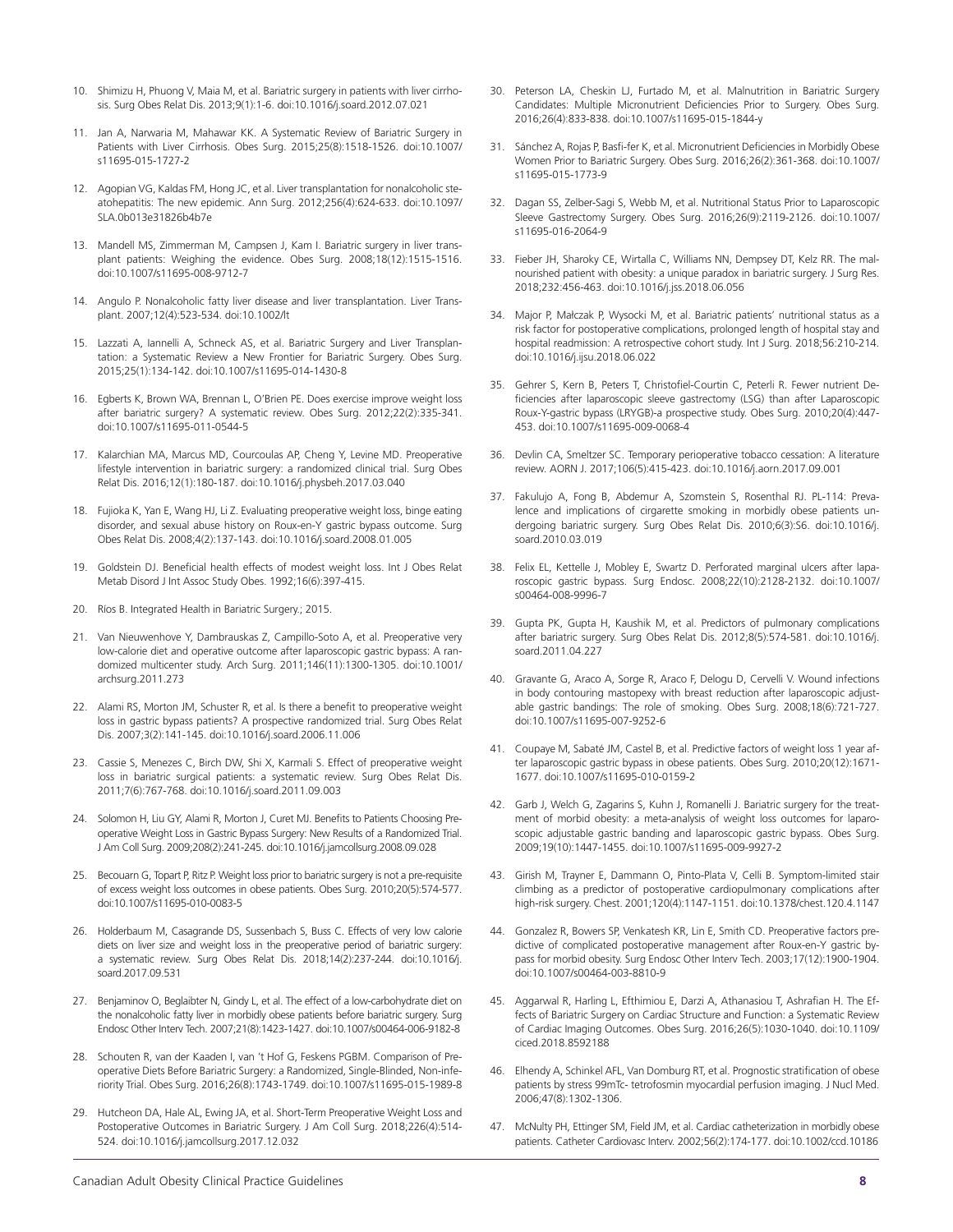- 10. Shimizu H, Phuong V, Maia M, et al. Bariatric surgery in patients with liver cirrhosis. Surg Obes Relat Dis. 2013;9(1):1-6. doi:10.1016/j.soard.2012.07.021
- 11. Jan A, Narwaria M, Mahawar KK. A Systematic Review of Bariatric Surgery in Patients with Liver Cirrhosis. Obes Surg. 2015;25(8):1518-1526. doi:10.1007/ s11695-015-1727-2
- 12. Agopian VG, Kaldas FM, Hong JC, et al. Liver transplantation for nonalcoholic steatohepatitis: The new epidemic. Ann Surg. 2012;256(4):624-633. doi:10.1097/ SLA.0b013e31826b4b7e
- 13. Mandell MS, Zimmerman M, Campsen J, Kam I. Bariatric surgery in liver transplant patients: Weighing the evidence. Obes Surg. 2008;18(12):1515-1516. doi:10.1007/s11695-008-9712-7
- 14. Angulo P. Nonalcoholic fatty liver disease and liver transplantation. Liver Transplant. 2007;12(4):523-534. doi:10.1002/lt
- 15. Lazzati A, Iannelli A, Schneck AS, et al. Bariatric Surgery and Liver Transplantation: a Systematic Review a New Frontier for Bariatric Surgery. Obes Surg. 2015;25(1):134-142. doi:10.1007/s11695-014-1430-8
- 16. Egberts K, Brown WA, Brennan L, O'Brien PE. Does exercise improve weight loss after bariatric surgery? A systematic review. Obes Surg. 2012;22(2):335-341. doi:10.1007/s11695-011-0544-5
- 17. Kalarchian MA, Marcus MD, Courcoulas AP, Cheng Y, Levine MD. Preoperative lifestyle intervention in bariatric surgery: a randomized clinical trial. Surg Obes Relat Dis. 2016;12(1):180-187. doi:10.1016/j.physbeh.2017.03.040
- 18. Fujioka K, Yan E, Wang HJ, Li Z. Evaluating preoperative weight loss, binge eating disorder, and sexual abuse history on Roux-en-Y gastric bypass outcome. Surg Obes Relat Dis. 2008;4(2):137-143. doi:10.1016/j.soard.2008.01.005
- 19. Goldstein DJ. Beneficial health effects of modest weight loss. Int J Obes Relat Metab Disord J Int Assoc Study Obes. 1992;16(6):397-415.
- 20. Ríos B. Integrated Health in Bariatric Surgery.; 2015.
- 21. Van Nieuwenhove Y, Dambrauskas Z, Campillo-Soto A, et al. Preoperative very low-calorie diet and operative outcome after laparoscopic gastric bypass: A randomized multicenter study. Arch Surg. 2011;146(11):1300-1305. doi:10.1001/ archsurg.2011.273
- 22. Alami RS, Morton JM, Schuster R, et al. Is there a benefit to preoperative weight loss in gastric bypass patients? A prospective randomized trial. Surg Obes Relat Dis. 2007;3(2):141-145. doi:10.1016/j.soard.2006.11.006
- 23. Cassie S, Menezes C, Birch DW, Shi X, Karmali S. Effect of preoperative weight loss in bariatric surgical patients: a systematic review. Surg Obes Relat Dis. 2011;7(6):767-768. doi:10.1016/j.soard.2011.09.003
- 24. Solomon H, Liu GY, Alami R, Morton J, Curet MJ. Benefits to Patients Choosing Preoperative Weight Loss in Gastric Bypass Surgery: New Results of a Randomized Trial. J Am Coll Surg. 2009;208(2):241-245. doi:10.1016/j.jamcollsurg.2008.09.028
- 25. Becouarn G, Topart P, Ritz P. Weight loss prior to bariatric surgery is not a pre-requisite of excess weight loss outcomes in obese patients. Obes Surg. 2010;20(5):574-577. doi:10.1007/s11695-010-0083-5
- 26. Holderbaum M, Casagrande DS, Sussenbach S, Buss C. Effects of very low calorie diets on liver size and weight loss in the preoperative period of bariatric surgery: a systematic review. Surg Obes Relat Dis. 2018;14(2):237-244. doi:10.1016/j. soard.2017.09.531
- 27. Benjaminov O, Beglaibter N, Gindy L, et al. The effect of a low-carbohydrate diet on the nonalcoholic fatty liver in morbidly obese patients before bariatric surgery. Surg Endosc Other Interv Tech. 2007;21(8):1423-1427. doi:10.1007/s00464-006-9182-8
- 28. Schouten R, van der Kaaden I, van 't Hof G, Feskens PGBM. Comparison of Preoperative Diets Before Bariatric Surgery: a Randomized, Single-Blinded, Non-inferiority Trial. Obes Surg. 2016;26(8):1743-1749. doi:10.1007/s11695-015-1989-8
- Hutcheon DA, Hale AL, Ewing JA, et al. Short-Term Preoperative Weight Loss and Postoperative Outcomes in Bariatric Surgery. J Am Coll Surg. 2018;226(4):514- 524. doi:10.1016/j.jamcollsurg.2017.12.032
- 30. Peterson LA, Cheskin LJ, Furtado M, et al. Malnutrition in Bariatric Surgery Candidates: Multiple Micronutrient Deficiencies Prior to Surgery. Obes Surg. 2016;26(4):833-838. doi:10.1007/s11695-015-1844-y
- 31. Sánchez A, Rojas P, Basfi-fer K, et al. Micronutrient Deficiencies in Morbidly Obese Women Prior to Bariatric Surgery. Obes Surg. 2016;26(2):361-368. doi:10.1007/ s11695-015-1773-9
- 32. Dagan SS, Zelber-Sagi S, Webb M, et al. Nutritional Status Prior to Laparoscopic Sleeve Gastrectomy Surgery. Obes Surg. 2016;26(9):2119-2126. doi:10.1007/ s11695-016-2064-9
- 33. Fieber JH, Sharoky CE, Wirtalla C, Williams NN, Dempsey DT, Kelz RR. The malnourished patient with obesity: a unique paradox in bariatric surgery. J Surg Res. 2018;232:456-463. doi:10.1016/j.jss.2018.06.056
- 34. Major P, Małczak P, Wysocki M, et al. Bariatric patients' nutritional status as a risk factor for postoperative complications, prolonged length of hospital stay and hospital readmission: A retrospective cohort study. Int J Surg. 2018;56:210-214. doi:10.1016/j.ijsu.2018.06.022
- 35. Gehrer S, Kern B, Peters T, Christofiel-Courtin C, Peterli R. Fewer nutrient Deficiencies after laparoscopic sleeve gastrectomy (LSG) than after Laparoscopic Roux-Y-gastric bypass (LRYGB)-a prospective study. Obes Surg. 2010;20(4):447- 453. doi:10.1007/s11695-009-0068-4
- 36. Devlin CA, Smeltzer SC. Temporary perioperative tobacco cessation: A literature review. AORN J. 2017;106(5):415-423. doi:10.1016/j.aorn.2017.09.001
- 37. Fakulujo A, Fong B, Abdemur A, Szomstein S, Rosenthal RJ. PL-114: Prevalence and implications of cirgarette smoking in morbidly obese patients undergoing bariatric surgery. Surg Obes Relat Dis. 2010;6(3):S6. doi:10.1016/j. soard.2010.03.019
- 38. Felix EL, Kettelle J, Mobley E, Swartz D. Perforated marginal ulcers after laparoscopic gastric bypass. Surg Endosc. 2008;22(10):2128-2132. doi:10.1007/ s00464-008-9996-7
- 39. Gupta PK, Gupta H, Kaushik M, et al. Predictors of pulmonary complications after bariatric surgery. Surg Obes Relat Dis. 2012;8(5):574-581. doi:10.1016/j. soard.2011.04.227
- 40. Gravante G, Araco A, Sorge R, Araco F, Delogu D, Cervelli V. Wound infections in body contouring mastopexy with breast reduction after laparoscopic adjustable gastric bandings: The role of smoking. Obes Surg. 2008;18(6):721-727. doi:10.1007/s11695-007-9252-6
- 41. Coupaye M, Sabaté JM, Castel B, et al. Predictive factors of weight loss 1 year after laparoscopic gastric bypass in obese patients. Obes Surg. 2010;20(12):1671- 1677. doi:10.1007/s11695-010-0159-2
- 42. Garb J, Welch G, Zagarins S, Kuhn J, Romanelli J. Bariatric surgery for the treatment of morbid obesity: a meta-analysis of weight loss outcomes for laparoscopic adjustable gastric banding and laparoscopic gastric bypass. Obes Surg. 2009;19(10):1447-1455. doi:10.1007/s11695-009-9927-2
- 43. Girish M, Trayner E, Dammann O, Pinto-Plata V, Celli B. Symptom-limited stair climbing as a predictor of postoperative cardiopulmonary complications after high-risk surgery. Chest. 2001;120(4):1147-1151. doi:10.1378/chest.120.4.1147
- 44. Gonzalez R, Bowers SP, Venkatesh KR, Lin E, Smith CD. Preoperative factors predictive of complicated postoperative management after Roux-en-Y gastric bypass for morbid obesity. Surg Endosc Other Interv Tech. 2003;17(12):1900-1904. doi:10.1007/s00464-003-8810-9
- 45. Aggarwal R, Harling L, Efthimiou E, Darzi A, Athanasiou T, Ashrafian H. The Effects of Bariatric Surgery on Cardiac Structure and Function: a Systematic Review of Cardiac Imaging Outcomes. Obes Surg. 2016;26(5):1030-1040. doi:10.1109/ ciced.2018.8592188
- 46. Elhendy A, Schinkel AFL, Van Domburg RT, et al. Prognostic stratification of obese patients by stress 99mTc- tetrofosmin myocardial perfusion imaging. J Nucl Med. 2006;47(8):1302-1306.
- 47. McNulty PH, Ettinger SM, Field JM, et al. Cardiac catheterization in morbidlv obese patients. Catheter Cardiovasc Interv. 2002;56(2):174-177. doi:10.1002/ccd.10186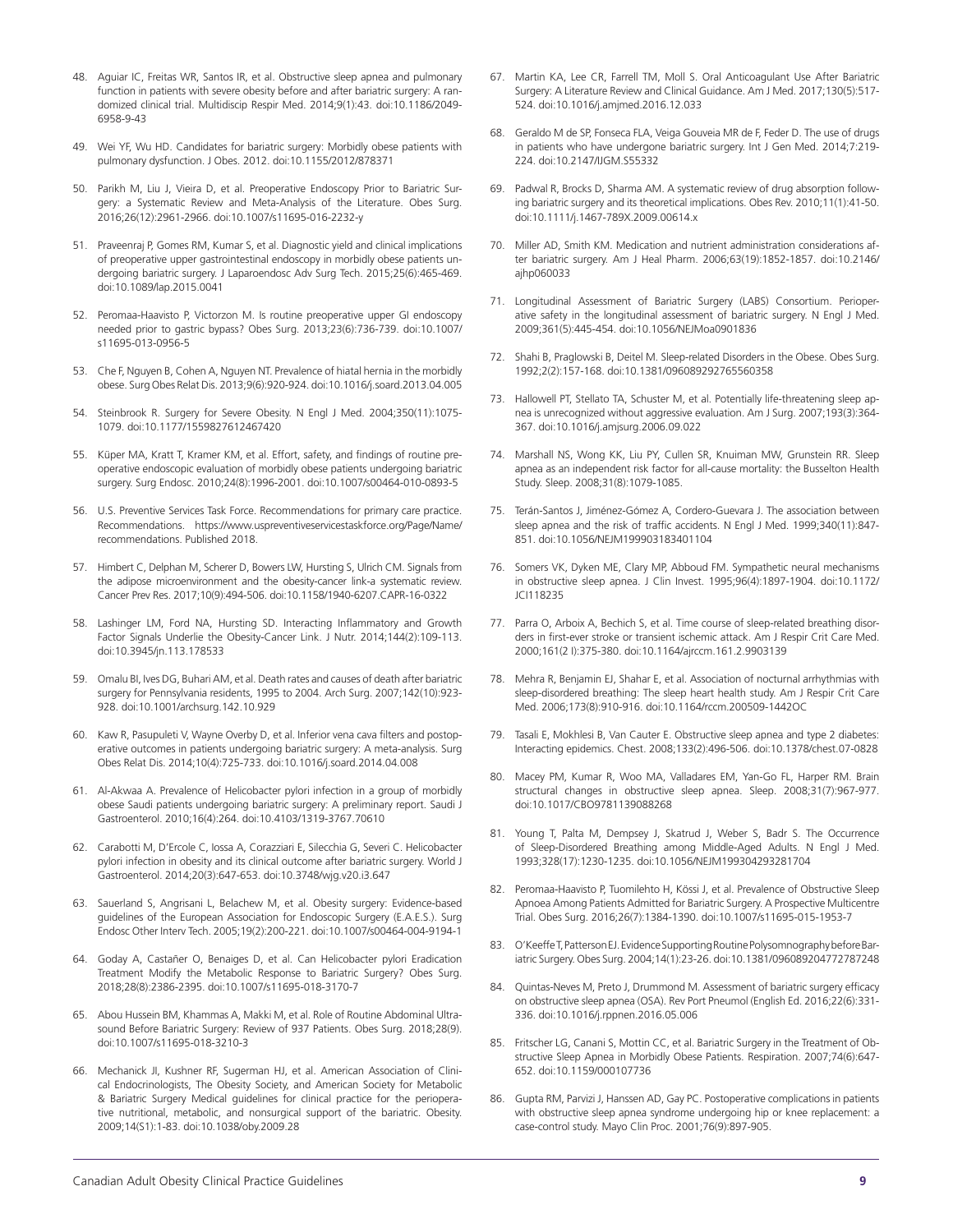- 48. Aguiar IC, Freitas WR, Santos IR, et al. Obstructive sleep apnea and pulmonary function in patients with severe obesity before and after bariatric surgery: A randomized clinical trial. Multidiscip Respir Med. 2014;9(1):43. doi:10.1186/2049- 6958-9-43
- 49. Wei YF, Wu HD. Candidates for bariatric surgery: Morbidly obese patients with pulmonary dysfunction. J Obes. 2012. doi:10.1155/2012/878371
- 50. Parikh M, Liu J, Vieira D, et al. Preoperative Endoscopy Prior to Bariatric Surgery: a Systematic Review and Meta-Analysis of the Literature. Obes Surg. 2016;26(12):2961-2966. doi:10.1007/s11695-016-2232-y
- 51. Praveenraj P, Gomes RM, Kumar S, et al. Diagnostic yield and clinical implications of preoperative upper gastrointestinal endoscopy in morbidly obese patients undergoing bariatric surgery. J Laparoendosc Adv Surg Tech. 2015;25(6):465-469. doi:10.1089/lap.2015.0041
- 52. Peromaa-Haavisto P, Victorzon M. Is routine preoperative upper GI endoscopy needed prior to gastric bypass? Obes Surg. 2013;23(6):736-739. doi:10.1007/ s11695-013-0956-5
- 53. Che F, Nguyen B, Cohen A, Nguyen NT. Prevalence of hiatal hernia in the morbidly obese. Surg Obes Relat Dis. 2013;9(6):920-924. doi:10.1016/j.soard.2013.04.005
- 54. Steinbrook R. Surgery for Severe Obesity. N Engl J Med. 2004;350(11):1075-1079. doi:10.1177/1559827612467420
- 55. Küper MA, Kratt T, Kramer KM, et al. Effort, safety, and findings of routine preoperative endoscopic evaluation of morbidly obese patients undergoing bariatric surgery. Surg Endosc. 2010;24(8):1996-2001. doi:10.1007/s00464-010-0893-5
- 56. U.S. Preventive Services Task Force. Recommendations for primary care practice. Recommendations. https://www.uspreventiveservicestaskforce.org/Page/Name/ recommendations. Published 2018.
- 57. Himbert C, Delphan M, Scherer D, Bowers LW, Hursting S, Ulrich CM. Signals from the adipose microenvironment and the obesity-cancer link-a systematic review. Cancer Prev Res. 2017;10(9):494-506. doi:10.1158/1940-6207.CAPR-16-0322
- 58. Lashinger LM, Ford NA, Hursting SD. Interacting Inflammatory and Growth Factor Signals Underlie the Obesity-Cancer Link. J Nutr. 2014;144(2):109-113. doi:10.3945/jn.113.178533
- 59. Omalu BI, Ives DG, Buhari AM, et al. Death rates and causes of death after bariatric surgery for Pennsylvania residents, 1995 to 2004. Arch Surg. 2007;142(10):923- 928. doi:10.1001/archsurg.142.10.929
- Kaw R, Pasupuleti V, Wayne Overby D, et al. Inferior vena cava filters and postoperative outcomes in patients undergoing bariatric surgery: A meta-analysis. Surg Obes Relat Dis. 2014;10(4):725-733. doi:10.1016/j.soard.2014.04.008
- 61. Al-Akwaa A. Prevalence of Helicobacter pylori infection in a group of morbidly obese Saudi patients undergoing bariatric surgery: A preliminary report. Saudi J Gastroenterol. 2010;16(4):264. doi:10.4103/1319-3767.70610
- 62. Carabotti M, D'Ercole C, Iossa A, Corazziari E, Silecchia G, Severi C. Helicobacter pylori infection in obesity and its clinical outcome after bariatric surgery. World J Gastroenterol. 2014;20(3):647-653. doi:10.3748/wjg.v20.i3.647
- 63. Sauerland S, Angrisani L, Belachew M, et al. Obesity surgery: Evidence-based guidelines of the European Association for Endoscopic Surgery (E.A.E.S.). Surg Endosc Other Interv Tech. 2005;19(2):200-221. doi:10.1007/s00464-004-9194-1
- 64. Goday A, Castañer O, Benaiges D, et al. Can Helicobacter pylori Eradication Treatment Modify the Metabolic Response to Bariatric Surgery? Obes Surg. 2018;28(8):2386-2395. doi:10.1007/s11695-018-3170-7
- 65. Abou Hussein BM, Khammas A, Makki M, et al. Role of Routine Abdominal Ultrasound Before Bariatric Surgery: Review of 937 Patients. Obes Surg. 2018;28(9). doi:10.1007/s11695-018-3210-3
- 66. Mechanick JI, Kushner RF, Sugerman HJ, et al. American Association of Clinical Endocrinologists, The Obesity Society, and American Society for Metabolic & Bariatric Surgery Medical guidelines for clinical practice for the perioperative nutritional, metabolic, and nonsurgical support of the bariatric. Obesity. 2009;14(S1):1-83. doi:10.1038/oby.2009.28
- 67. Martin KA, Lee CR, Farrell TM, Moll S. Oral Anticoagulant Use After Bariatric Surgery: A Literature Review and Clinical Guidance. Am J Med. 2017;130(5):517- 524. doi:10.1016/j.amjmed.2016.12.033
- 68. Geraldo M de SP, Fonseca FLA, Veiga Gouveia MR de F, Feder D. The use of drugs in patients who have undergone bariatric surgery. Int J Gen Med. 2014;7:219- 224. doi:10.2147/IJGM.S55332
- 69. Padwal R, Brocks D, Sharma AM. A systematic review of drug absorption following bariatric surgery and its theoretical implications. Obes Rev. 2010;11(1):41-50. doi:10.1111/j.1467-789X.2009.00614.x
- 70. Miller AD, Smith KM. Medication and nutrient administration considerations after bariatric surgery. Am J Heal Pharm. 2006;63(19):1852-1857. doi:10.2146/ ajhp060033
- 71. Longitudinal Assessment of Bariatric Surgery (LABS) Consortium. Perioperative safety in the longitudinal assessment of bariatric surgery. N Engl J Med. 2009;361(5):445-454. doi:10.1056/NEJMoa0901836
- 72. Shahi B, Praglowski B, Deitel M. Sleep-related Disorders in the Obese. Obes Surg. 1992;2(2):157-168. doi:10.1381/096089292765560358
- 73. Hallowell PT, Stellato TA, Schuster M, et al. Potentially life-threatening sleep apnea is unrecognized without aggressive evaluation. Am J Surg. 2007;193(3):364- 367. doi:10.1016/j.amjsurg.2006.09.022
- 74. Marshall NS, Wong KK, Liu PY, Cullen SR, Knuiman MW, Grunstein RR. Sleep apnea as an independent risk factor for all-cause mortality: the Busselton Health Study. Sleep. 2008;31(8):1079-1085.
- 75. Terán-Santos J, Jiménez-Gómez A, Cordero-Guevara J. The association between sleep apnea and the risk of traffic accidents. N Engl J Med. 1999;340(11):847- 851. doi:10.1056/NEJM199903183401104
- 76. Somers VK, Dyken ME, Clary MP, Abboud FM. Sympathetic neural mechanisms in obstructive sleep apnea. J Clin Invest. 1995;96(4):1897-1904. doi:10.1172/ JCI118235
- 77. Parra O, Arboix A, Bechich S, et al. Time course of sleep-related breathing disorders in first-ever stroke or transient ischemic attack. Am J Respir Crit Care Med. 2000;161(2 I):375-380. doi:10.1164/ajrccm.161.2.9903139
- 78. Mehra R, Benjamin EJ, Shahar E, et al. Association of nocturnal arrhythmias with sleep-disordered breathing: The sleep heart health study. Am J Respir Crit Care Med. 2006;173(8):910-916. doi:10.1164/rccm.200509-1442OC
- 79. Tasali E, Mokhlesi B, Van Cauter E. Obstructive sleep apnea and type 2 diabetes: Interacting epidemics. Chest. 2008;133(2):496-506. doi:10.1378/chest.07-0828
- 80. Macey PM, Kumar R, Woo MA, Valladares EM, Yan-Go FL, Harper RM. Brain structural changes in obstructive sleep apnea. Sleep. 2008;31(7):967-977. doi:10.1017/CBO9781139088268
- 81. Young T, Palta M, Dempsey J, Skatrud J, Weber S, Badr S. The Occurrence of Sleep-Disordered Breathing among Middle-Aged Adults. N Engl J Med. 1993;328(17):1230-1235. doi:10.1056/NEJM199304293281704
- 82. Peromaa-Haavisto P, Tuomilehto H, Kössi J, et al. Prevalence of Obstructive Sleep Apnoea Among Patients Admitted for Bariatric Surgery. A Prospective Multicentre Trial. Obes Surg. 2016;26(7):1384-1390. doi:10.1007/s11695-015-1953-7
- 83. O'Keeffe T, Patterson EJ. Evidence Supporting Routine Polysomnography before Bariatric Surgery. Obes Surg. 2004;14(1):23-26. doi:10.1381/096089204772787248
- 84. Quintas-Neves M, Preto J, Drummond M. Assessment of bariatric surgery efficacy on obstructive sleep apnea (OSA). Rev Port Pneumol (English Ed. 2016;22(6):331- 336. doi:10.1016/j.rppnen.2016.05.006
- 85. Fritscher LG, Canani S, Mottin CC, et al. Bariatric Surgery in the Treatment of Obstructive Sleep Apnea in Morbidly Obese Patients. Respiration. 2007;74(6):647- 652. doi:10.1159/000107736
- 86. Gupta RM, Parvizi J, Hanssen AD, Gay PC. Postoperative complications in patients with obstructive sleep apnea syndrome undergoing hip or knee replacement: a case-control study. Mayo Clin Proc. 2001;76(9):897-905.